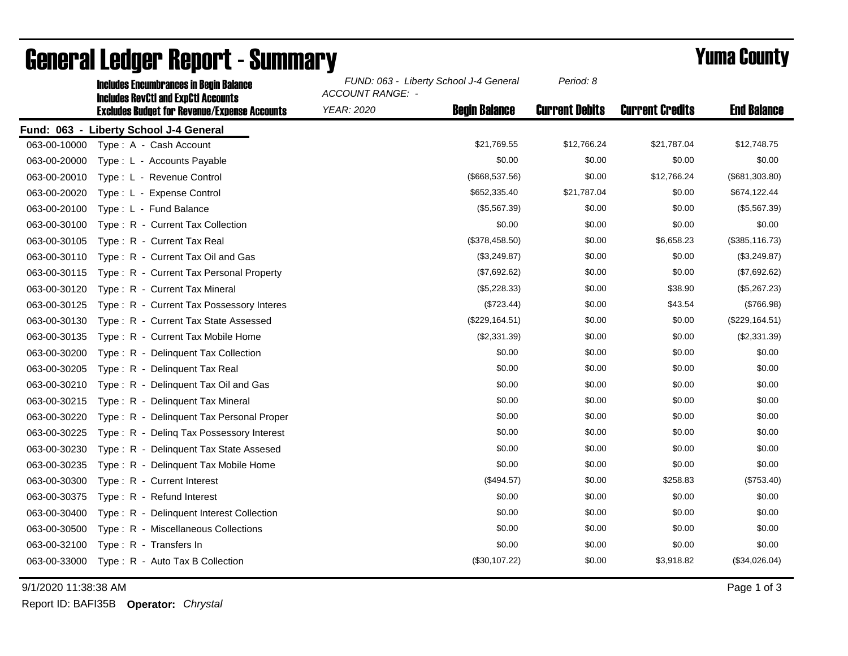|                                        | <b>Includes RevCtI and ExpCtI Accounts</b>          | <b>ACCOUNT RANGE: -</b> |                      |                       |                        |                    |  |  |
|----------------------------------------|-----------------------------------------------------|-------------------------|----------------------|-----------------------|------------------------|--------------------|--|--|
|                                        | <b>Excludes Budget for Revenue/Expense Accounts</b> | <b>YEAR: 2020</b>       | <b>Begin Balance</b> | <b>Current Debits</b> | <b>Current Credits</b> | <b>End Balance</b> |  |  |
| Fund: 063 - Liberty School J-4 General |                                                     |                         |                      |                       |                        |                    |  |  |
| 063-00-10000                           | Type: A - Cash Account                              |                         | \$21,769.55          | \$12,766.24           | \$21,787.04            | \$12,748.75        |  |  |
| 063-00-20000                           | Type: L - Accounts Payable                          |                         | \$0.00               | \$0.00                | \$0.00                 | \$0.00             |  |  |
| 063-00-20010                           | Type: L - Revenue Control                           |                         | (\$668,537.56)       | \$0.00                | \$12,766.24            | (\$681,303.80)     |  |  |
| 063-00-20020                           | Type: L - Expense Control                           |                         | \$652,335.40         | \$21,787.04           | \$0.00                 | \$674,122.44       |  |  |
| 063-00-20100                           | Type: L - Fund Balance                              |                         | (\$5,567.39)         | \$0.00                | \$0.00                 | (\$5,567.39)       |  |  |
| 063-00-30100                           | Type: R - Current Tax Collection                    |                         | \$0.00               | \$0.00                | \$0.00                 | \$0.00             |  |  |
| 063-00-30105                           | Type: R - Current Tax Real                          |                         | (\$378,458.50)       | \$0.00                | \$6,658.23             | (\$385,116.73)     |  |  |
| 063-00-30110                           | Type: R - Current Tax Oil and Gas                   |                         | (\$3,249.87)         | \$0.00                | \$0.00                 | (\$3,249.87)       |  |  |
| 063-00-30115                           | Type: R - Current Tax Personal Property             |                         | (\$7,692.62)         | \$0.00                | \$0.00                 | (\$7,692.62)       |  |  |
| 063-00-30120                           | Type: R - Current Tax Mineral                       |                         | (\$5,228.33)         | \$0.00                | \$38.90                | (\$5,267.23)       |  |  |
| 063-00-30125                           | Type: R - Current Tax Possessory Interes            |                         | (\$723.44)           | \$0.00                | \$43.54                | (\$766.98)         |  |  |
| 063-00-30130                           | Type: R - Current Tax State Assessed                |                         | (\$229, 164.51)      | \$0.00                | \$0.00                 | (\$229, 164.51)    |  |  |
| 063-00-30135                           | Type: R - Current Tax Mobile Home                   |                         | (\$2,331.39)         | \$0.00                | \$0.00                 | (\$2,331.39)       |  |  |
| 063-00-30200                           | Type: R - Delinquent Tax Collection                 |                         | \$0.00               | \$0.00                | \$0.00                 | \$0.00             |  |  |
| 063-00-30205                           | Type: R - Delinquent Tax Real                       |                         | \$0.00               | \$0.00                | \$0.00                 | \$0.00             |  |  |
| 063-00-30210                           | Type: R - Delinquent Tax Oil and Gas                |                         | \$0.00               | \$0.00                | \$0.00                 | \$0.00             |  |  |
| 063-00-30215                           | Type: R - Delinquent Tax Mineral                    |                         | \$0.00               | \$0.00                | \$0.00                 | \$0.00             |  |  |
| 063-00-30220                           | Type: R - Delinquent Tax Personal Proper            |                         | \$0.00               | \$0.00                | \$0.00                 | \$0.00             |  |  |
| 063-00-30225                           | Type: R - Deling Tax Possessory Interest            |                         | \$0.00               | \$0.00                | \$0.00                 | \$0.00             |  |  |
| 063-00-30230                           | Type: R - Delinquent Tax State Assesed              |                         | \$0.00               | \$0.00                | \$0.00                 | \$0.00             |  |  |
| 063-00-30235                           | Type: R - Delinquent Tax Mobile Home                |                         | \$0.00               | \$0.00                | \$0.00                 | \$0.00             |  |  |
| 063-00-30300                           | Type: R - Current Interest                          |                         | (\$494.57)           | \$0.00                | \$258.83               | (\$753.40)         |  |  |
| 063-00-30375                           | Type: R - Refund Interest                           |                         | \$0.00               | \$0.00                | \$0.00                 | \$0.00             |  |  |
| 063-00-30400                           | Type: R - Delinquent Interest Collection            |                         | \$0.00               | \$0.00                | \$0.00                 | \$0.00             |  |  |
| 063-00-30500                           | Type: R - Miscellaneous Collections                 |                         | \$0.00               | \$0.00                | \$0.00                 | \$0.00             |  |  |
| 063-00-32100                           | Type: R - Transfers In                              |                         | \$0.00               | \$0.00                | \$0.00                 | \$0.00             |  |  |
| 063-00-33000                           | Type: R - Auto Tax B Collection                     |                         | (\$30,107.22)        | \$0.00                | \$3,918.82             | (\$34,026.04)      |  |  |
|                                        |                                                     |                         |                      |                       |                        |                    |  |  |

## General Ledger Report - Summary **Example 2018** Yuma County

Includes Encumbrances in Begin Balance *FUND: 063 - Liberty School J-4 General*

9/1/2020 11:38:38 AM Page 1 of 3

Report ID: BAFI35B **Operator:** *Chrystal*

*Period: 8*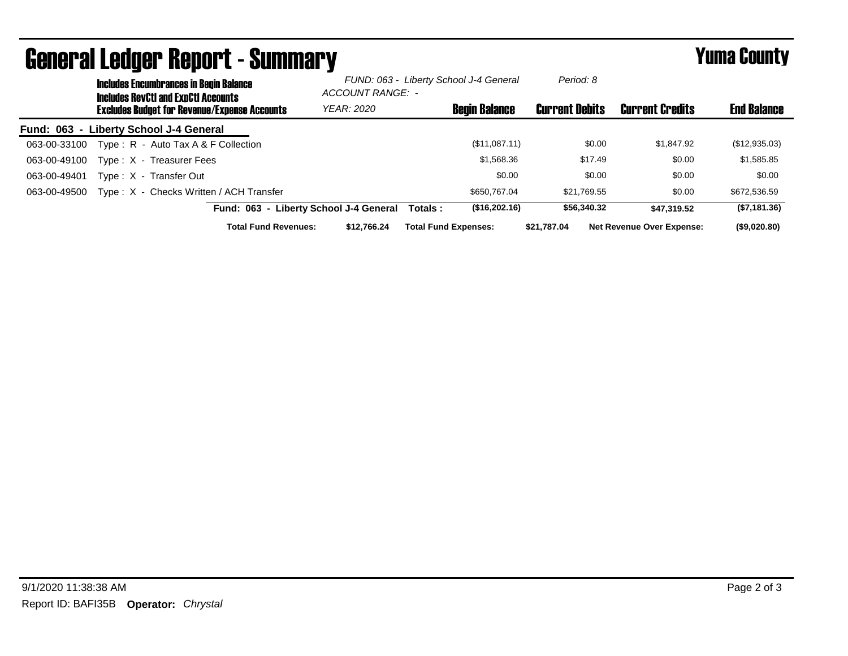|              |                                                     | <b>Includes Encumbrances in Begin Balance</b><br><b>Includes RevCtI and ExpCtI Accounts</b> |                                        | FUND: 063 - Liberty School J-4 General<br>ACCOUNT RANGE: - |                        |                                  |               |
|--------------|-----------------------------------------------------|---------------------------------------------------------------------------------------------|----------------------------------------|------------------------------------------------------------|------------------------|----------------------------------|---------------|
|              | <b>Excludes Budget for Revenue/Expense Accounts</b> | <b>YEAR: 2020</b>                                                                           | <b>Begin Balance</b>                   | <b>Current Debits</b>                                      | <b>Current Credits</b> | <b>End Balance</b>               |               |
|              |                                                     | Fund: 063 - Liberty School J-4 General                                                      |                                        |                                                            |                        |                                  |               |
| 063-00-33100 |                                                     | Type: $R -$ Auto Tax A & F Collection                                                       |                                        | (\$11,087.11)                                              | \$0.00                 | \$1,847.92                       | (\$12,935.03) |
| 063-00-49100 |                                                     | Type: X - Treasurer Fees                                                                    |                                        | \$1,568.36                                                 | \$17.49                | \$0.00                           | \$1,585.85    |
| 063-00-49401 |                                                     | Type: X - Transfer Out                                                                      |                                        | \$0.00                                                     | \$0.00                 | \$0.00                           | \$0.00        |
| 063-00-49500 |                                                     | Type: X - Checks Written / ACH Transfer                                                     |                                        | \$650,767.04                                               | \$21.769.55            | \$0.00                           | \$672,536.59  |
|              |                                                     |                                                                                             | Fund: 063 - Liberty School J-4 General | (\$16,202.16)<br>Totals:                                   | \$56,340,32            | \$47,319.52                      | (\$7,181.36)  |
|              |                                                     | <b>Total Fund Revenues:</b>                                                                 | \$12.766.24                            | <b>Total Fund Expenses:</b>                                | \$21.787.04            | <b>Net Revenue Over Expense:</b> | (\$9,020.80)  |

## General Ledger Report - Summary **Example 2018** Yuma County